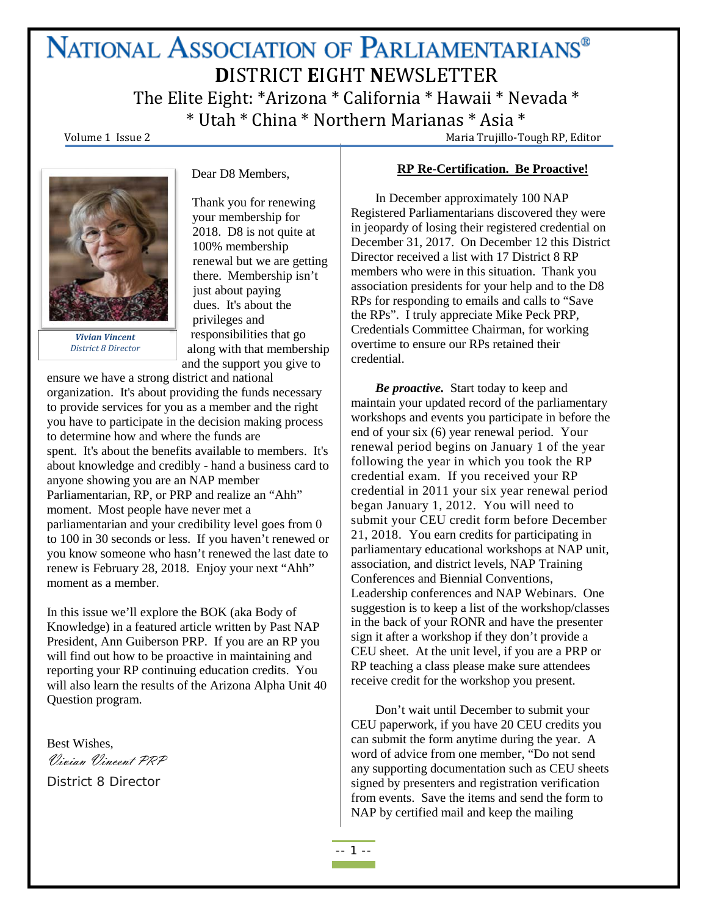# NATIONAL ASSOCIATION OF PARLIAMENTARIANS® **D**ISTRICT **E**IGHT **N**EWSLETTER

The Elite Eight: \*Arizona \* California \* Hawaii \* Nevada \*  $*$  Utah  $*$  China  $*$  Northern Marianas  $*$  Asia  $*$ <br>Volume 1 Issue 2 Maria Trujillo-Tough RP, Editor



*Vivian Vincent District 8 Director*

your membership for 2018. D8 is not quite at 100% membership renewal but we are getting there. Membership isn't just about paying dues. It's about the privileges and responsibilities that go along with that membership and the support you give to

Dear D8 Members,

Thank you for renewing

ensure we have a strong district and national organization. It's about providing the funds necessary to provide services for you as a member and the right you have to participate in the decision making process to determine how and where the funds are spent. It's about the benefits available to members. It's about knowledge and credibly - hand a business card to anyone showing you are an NAP member Parliamentarian, RP, or PRP and realize an "Ahh" moment. Most people have never met a parliamentarian and your credibility level goes from 0 to 100 in 30 seconds or less. If you haven't renewed or you know someone who hasn't renewed the last date to renew is February 28, 2018. Enjoy your next "Ahh" moment as a member.

In this issue we'll explore the BOK (aka Body of Knowledge) in a featured article written by Past NAP President, Ann Guiberson PRP. If you are an RP you will find out how to be proactive in maintaining and reporting your RP continuing education credits. You will also learn the results of the Arizona Alpha Unit 40 Question program.

Best Wishes, Vivian Vincent PRP District 8 Director

**RP Re-Certification. Be Proactive!**

In December approximately 100 NAP Registered Parliamentarians discovered they were in jeopardy of losing their registered credential on December 31, 2017. On December 12 this District Director received a list with 17 District 8 RP members who were in this situation. Thank you association presidents for your help and to the D8 RPs for responding to emails and calls to "Save the RPs". I truly appreciate Mike Peck PRP, Credentials Committee Chairman, for working overtime to ensure our RPs retained their credential.

*Be proactive.* Start today to keep and maintain your updated record of the parliamentary workshops and events you participate in before the end of your six (6) year renewal period. Your renewal period begins on January 1 of the year following the year in which you took the RP credential exam. If you received your RP credential in 2011 your six year renewal period began January 1, 2012. You will need to submit your CEU credit form before December 21, 2018. You earn credits for participating in parliamentary educational workshops at NAP unit, association, and district levels, NAP Training Conferences and Biennial Conventions, Leadership conferences and NAP Webinars. One suggestion is to keep a list of the workshop/classes in the back of your RONR and have the presenter sign it after a workshop if they don't provide a CEU sheet. At the unit level, if you are a PRP or RP teaching a class please make sure attendees receive credit for the workshop you present.

Don't wait until December to submit your CEU paperwork, if you have 20 CEU credits you can submit the form anytime during the year. A word of advice from one member, "Do not send any supporting documentation such as CEU sheets signed by presenters and registration verification from events. Save the items and send the form to NAP by certified mail and keep the mailing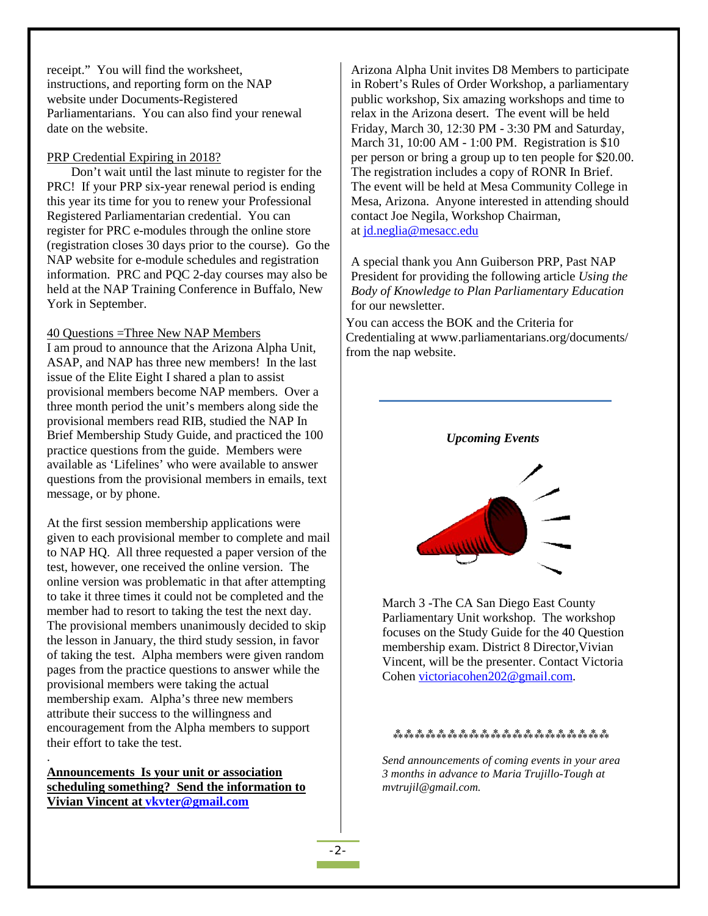receipt." You will find the worksheet, instructions, and reporting form on the NAP website under Documents-Registered Parliamentarians. You can also find your renewal date on the website.

#### PRP Credential Expiring in 2018?

Don't wait until the last minute to register for the PRC! If your PRP six-year renewal period is ending this year its time for you to renew your Professional Registered Parliamentarian credential. You can register for PRC e-modules through the online store (registration closes 30 days prior to the course). Go the NAP website for e-module schedules and registration information. PRC and PQC 2-day courses may also be held at the NAP Training Conference in Buffalo, New York in September.

#### 40 Questions =Three New NAP Members

I am proud to announce that the Arizona Alpha Unit, ASAP, and NAP has three new members! In the last issue of the Elite Eight I shared a plan to assist provisional members become NAP members. Over a three month period the unit's members along side the provisional members read RIB, studied the NAP In Brief Membership Study Guide, and practiced the 100 practice questions from the guide. Members were available as 'Lifelines' who were available to answer questions from the provisional members in emails, text message, or by phone.

At the first session membership applications were given to each provisional member to complete and mail to NAP HQ. All three requested a paper version of the test, however, one received the online version. The online version was problematic in that after attempting to take it three times it could not be completed and the member had to resort to taking the test the next day. The provisional members unanimously decided to skip the lesson in January, the third study session, in favor of taking the test. Alpha members were given random pages from the practice questions to answer while the provisional members were taking the actual membership exam. Alpha's three new members attribute their success to the willingness and encouragement from the Alpha members to support their effort to take the test.

**Announcements Is your unit or association scheduling something? Send the information to Vivian Vincent at [vkvter@gmail.com](mailto:vkvter@gmail.com)**

.

Arizona Alpha Unit invites D8 Members to participate in Robert's Rules of Order Workshop, a parliamentary public workshop, Six amazing workshops and time to relax in the Arizona desert. The event will be held Friday, March 30, 12:30 PM - 3:30 PM and Saturday, March 31, 10:00 AM - 1:00 PM. Registration is \$10 per person or bring a group up to ten people for \$20.00. The registration includes a copy of RONR In Brief. The event will be held at Mesa Community College in Mesa, Arizona. Anyone interested in attending should contact Joe Negila, Workshop Chairman, at [jd.neglia@mesacc.edu](mailto:jd.neglia@mesacc.edu)

A special thank you Ann Guiberson PRP, Past NAP President for providing the following article *Using the Body of Knowledge to Plan Parliamentary Education*  for our newsletter.

You can access the BOK and the Criteria for Credentialing at www.parliamentarians.org/documents/ from the nap website.



March 3 -The CA San Diego East County Parliamentary Unit workshop. The workshop focuses on the Study Guide for the 40 Question membership exam. District 8 Director,Vivian Vincent, will be the presenter. Contact Victoria Cohen [victoriacohen202@gmail.com.](mailto:victoriacohen202@gmail.com)

#### ⁂⁂⁂⁂⁂⁂⁂⁂⁂⁂⁂⁂⁂⁂⁂⁂⁂⁂⁂⁂

*Send announcements of coming events in your area 3 months in advance to Maria Trujillo-Tough at mvtrujil@gmail.com.*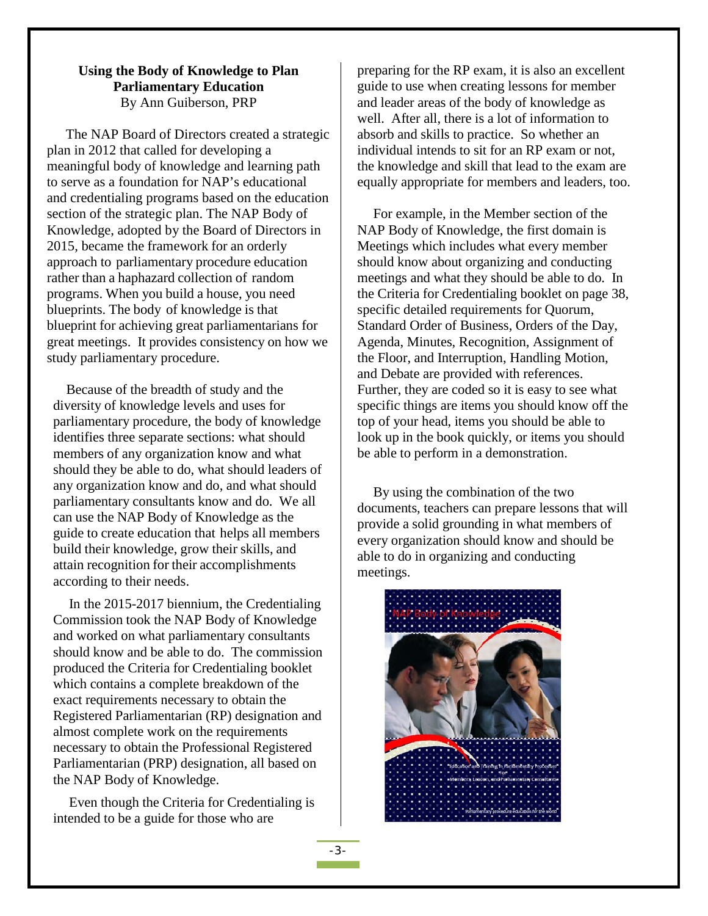### **Using the Body of Knowledge to Plan Parliamentary Education** By Ann Guiberson, PRP

The NAP Board of Directors created a strategic plan in 2012 that called for developing a meaningful body of knowledge and learning path to serve as a foundation for NAP's educational and credentialing programs based on the education section of the strategic plan. The NAP Body of Knowledge, adopted by the Board of Directors in 2015, became the framework for an orderly approach to parliamentary procedure education rather than a haphazard collection of random programs. When you build a house, you need blueprints. The body of knowledge is that blueprint for achieving great parliamentarians for great meetings. It provides consistency on how we study parliamentary procedure.

Because of the breadth of study and the diversity of knowledge levels and uses for parliamentary procedure, the body of knowledge identifies three separate sections: what should members of any organization know and what should they be able to do, what should leaders of any organization know and do, and what should parliamentary consultants know and do. We all can use the NAP Body of Knowledge as the guide to create education that helps all members build their knowledge, grow their skills, and attain recognition for their accomplishments according to their needs.

In the 2015-2017 biennium, the Credentialing Commission took the NAP Body of Knowledge and worked on what parliamentary consultants should know and be able to do. The commission produced the Criteria for Credentialing booklet which contains a complete breakdown of the exact requirements necessary to obtain the Registered Parliamentarian (RP) designation and almost complete work on the requirements necessary to obtain the Professional Registered Parliamentarian (PRP) designation, all based on the NAP Body of Knowledge.

Even though the Criteria for Credentialing is intended to be a guide for those who are

preparing for the RP exam, it is also an excellent guide to use when creating lessons for member and leader areas of the body of knowledge as well. After all, there is a lot of information to absorb and skills to practice. So whether an individual intends to sit for an RP exam or not, the knowledge and skill that lead to the exam are equally appropriate for members and leaders, too.

For example, in the Member section of the NAP Body of Knowledge, the first domain is Meetings which includes what every member should know about organizing and conducting meetings and what they should be able to do. In the Criteria for Credentialing booklet on page 38, specific detailed requirements for Quorum, Standard Order of Business, Orders of the Day, Agenda, Minutes, Recognition, Assignment of the Floor, and Interruption, Handling Motion, and Debate are provided with references. Further, they are coded so it is easy to see what specific things are items you should know off the top of your head, items you should be able to look up in the book quickly, or items you should be able to perform in a demonstration.

By using the combination of the two documents, teachers can prepare lessons that will provide a solid grounding in what members of every organization should know and should be able to do in organizing and conducting meetings.

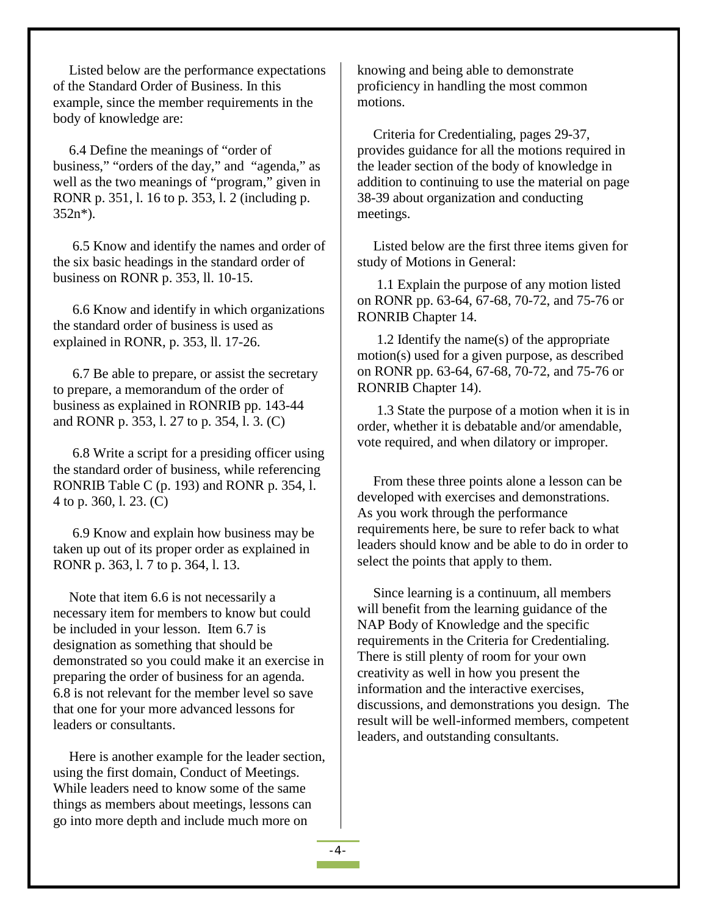Listed below are the performance expectations of the Standard Order of Business. In this example, since the member requirements in the body of knowledge are:

6.4 Define the meanings of "order of business," "orders of the day," and "agenda," as well as the two meanings of "program," given in RONR p. 351, l. 16 to p. 353, l. 2 (including p. 352n\*).

6.5 Know and identify the names and order of the six basic headings in the standard order of business on RONR p. 353, ll. 10-15.

6.6 Know and identify in which organizations the standard order of business is used as explained in RONR, p. 353, ll. 17-26.

6.7 Be able to prepare, or assist the secretary to prepare, a memorandum of the order of business as explained in RONRIB pp. 143-44 and RONR p. 353, l. 27 to p. 354, l. 3. (C)

6.8 Write a script for a presiding officer using the standard order of business, while referencing RONRIB Table C (p. 193) and RONR p. 354, l. 4 to p. 360, l. 23. (C)

6.9 Know and explain how business may be taken up out of its proper order as explained in RONR p. 363, l. 7 to p. 364, l. 13.

Note that item 6.6 is not necessarily a necessary item for members to know but could be included in your lesson. Item 6.7 is designation as something that should be demonstrated so you could make it an exercise in preparing the order of business for an agenda. 6.8 is not relevant for the member level so save that one for your more advanced lessons for leaders or consultants.

Here is another example for the leader section, using the first domain, Conduct of Meetings. While leaders need to know some of the same things as members about meetings, lessons can go into more depth and include much more on

knowing and being able to demonstrate proficiency in handling the most common motions.

Criteria for Credentialing, pages 29-37, provides guidance for all the motions required in the leader section of the body of knowledge in addition to continuing to use the material on page 38-39 about organization and conducting meetings.

Listed below are the first three items given for study of Motions in General:

1.1 Explain the purpose of any motion listed on RONR pp. 63-64, 67-68, 70-72, and 75-76 or RONRIB Chapter 14.

1.2 Identify the name(s) of the appropriate motion(s) used for a given purpose, as described on RONR pp. 63-64, 67-68, 70-72, and 75-76 or RONRIB Chapter 14).

1.3 State the purpose of a motion when it is in order, whether it is debatable and/or amendable, vote required, and when dilatory or improper.

From these three points alone a lesson can be developed with exercises and demonstrations. As you work through the performance requirements here, be sure to refer back to what leaders should know and be able to do in order to select the points that apply to them.

Since learning is a continuum, all members will benefit from the learning guidance of the NAP Body of Knowledge and the specific requirements in the Criteria for Credentialing. There is still plenty of room for your own creativity as well in how you present the information and the interactive exercises, discussions, and demonstrations you design. The result will be well-informed members, competent leaders, and outstanding consultants.

 $-4-$